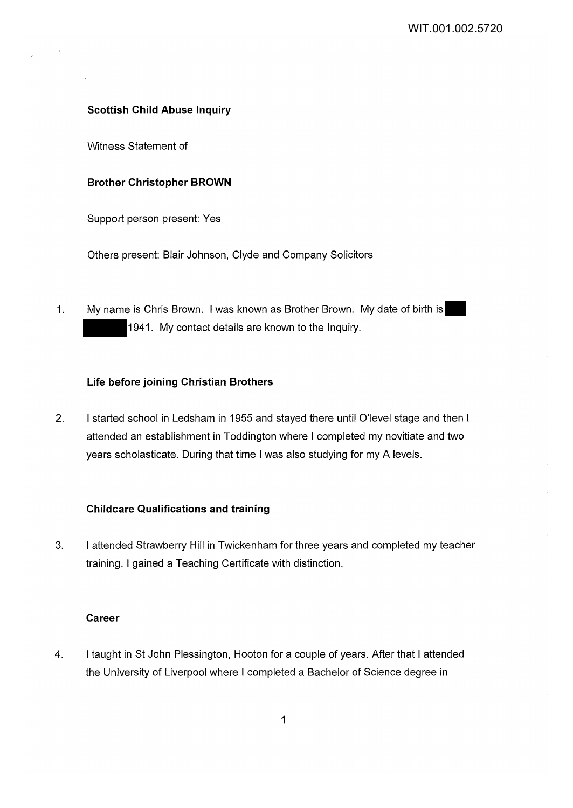#### **Scottish Child Abuse Inquiry**

Witness Statement of

#### **Brother Christopher BROWN**

Support person present: Yes

Others present: Blair Johnson, Clyde and Company Solicitors

1. My name is Chris Brown. I was known as Brother Brown. My date of birth is 1941. My contact details are known to the Inquiry.

### **Life before joining Christian Brothers**

2. I started school in Ledsham in 1955 and stayed there until O'level stage and then I attended an establishment in Toddington where I completed my novitiate and two years scholasticate. During that time I was also studying for my A levels.

#### **Childcare Qualifications and training**

3. I attended Strawberry Hill in Twickenham for three years and completed my teacher training. I gained a Teaching Certificate with distinction.

### **Career**

4. I taught in St John Plessington, Hooton for a couple of years. After that I attended the University of Liverpool where I completed a Bachelor of Science degree in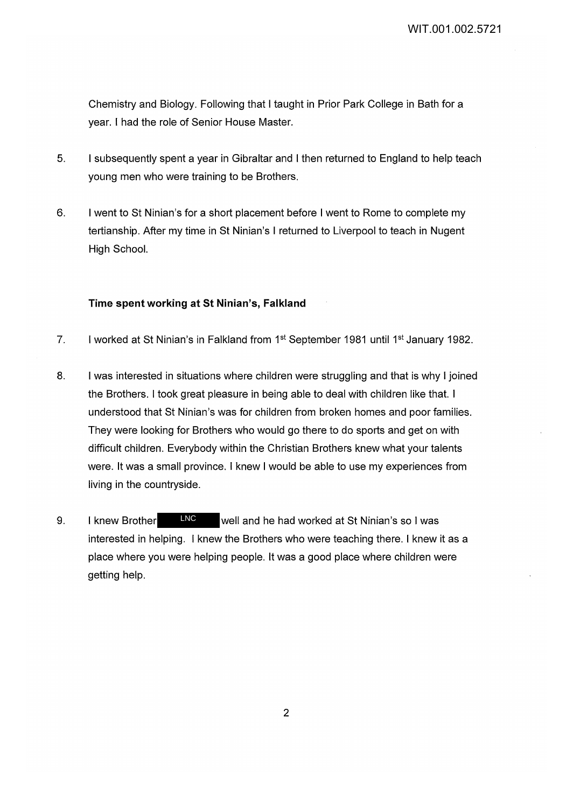Chemistry and Biology. Following that I taught in Prior Park College in Bath for a year. I had the role of Senior House Master.

- 5. I subsequently spent a year in Gibraltar and I then returned to England to help teach young men who were training to be Brothers.
- 6. I went to St Ninian's for a short placement before I went to Rome to complete my tertianship. After my time in St Ninian's I returned to Liverpool to teach in Nugent High School.

## **Time spent working at St Ninian's, Falkland**

- 7. I worked at St Ninian's in Falkland from 1<sup>st</sup> September 1981 until 1<sup>st</sup> January 1982.
- 8. I was interested in situations where children were struggling and that is why I joined the Brothers. I took great pleasure in being able to deal with children like that. I understood that St Ninian's was for children from broken homes and poor families. They were looking for Brothers who would go there to do sports and get on with difficult children. Everybody within the Christian Brothers knew what your talents were. It was a small province. I knew I would be able to use my experiences from living in the countryside.
- 9. I knew Brother LNC well and he had worked at St Ninian's so I was interested in helping. I knew the Brothers who were teaching there. I knew it as a place where you were helping people. It was a good place where children were getting help. LNC

2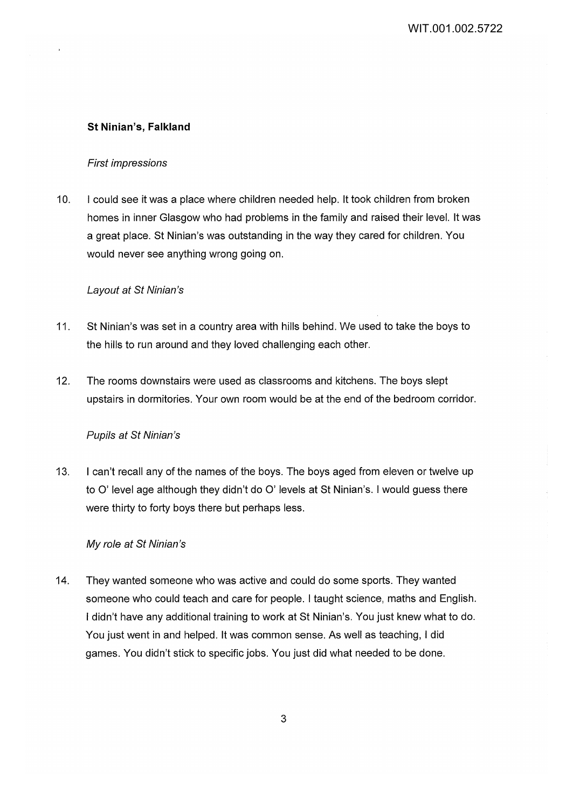## **St Ninian's, Falkland**

### First impressions

10. I could see it was a place where children needed help. It took children from broken homes in inner Glasgow who had problems in the family and raised their level. It was a great place. St Ninian's was outstanding in the way they cared for children. You would never see anything wrong going on.

### Layout at St Ninian's

- 11. St Ninian's was set in a country area with hills behind. We used to take the boys to the hills to run around and they loved challenging each other.
- 12. The rooms downstairs were used as classrooms and kitchens. The boys slept upstairs in dormitories. Your own room would be at the end of the bedroom corridor.

### Pupils at St Ninian's

13. I can't recall any of the names of the boys. The boys aged from eleven or twelve up to O' level age although they didn't do O' levels at St Ninian's. I would guess there were thirty to forty boys there but perhaps less.

### My role at St Ninian's

14. They wanted someone who was active and could do some sports. They wanted someone who could teach and care for people. I taught science, maths and English. I didn't have any additional training to work at St Ninian's. You just knew what to do. You just went in and helped. It was common sense. As well as teaching, I did games. You didn't stick to specific jobs. You just did what needed to be done.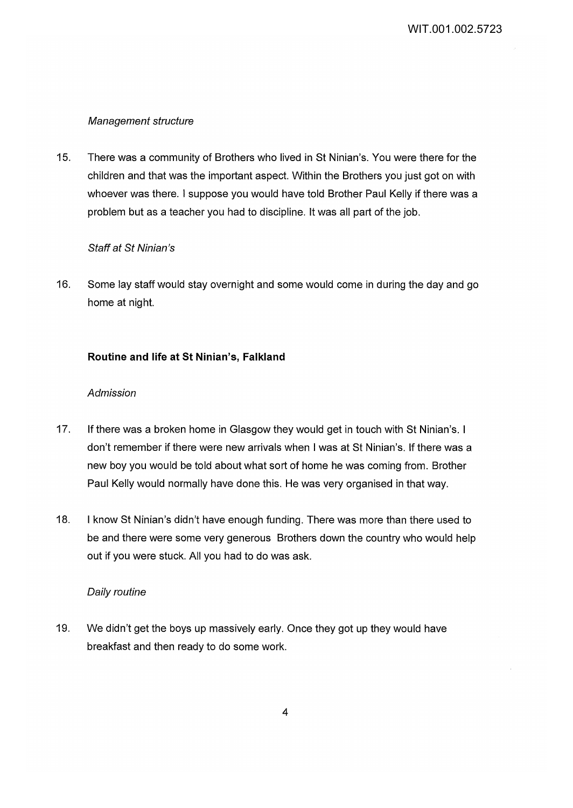## Management structure

15. There was a community of Brothers who lived in St Ninian's. You were there for the children and that was the important aspect. Within the Brothers you just got on with whoever was there. I suppose you would have told Brother Paul Kelly if there was a problem but as a teacher you had to discipline. It was all part of the job.

## Staff at St Ninian's

16. Some lay staff would stay overnight and some would come in during the day and go home at night.

## **Routine and life at St Ninian's, Falkland**

## Admission

- 17. If there was a broken home in Glasgow they would get in touch with St Ninian's. I don't remember if there were new arrivals when I was at St Ninian's. If there was a new boy you would be told about what sort of home he was coming from. Brother Paul Kelly would normally have done this. He was very organised in that way.
- 18. I know St Ninian's didn't have enough funding. There was more than there used to be and there were some very generous Brothers down the country who would help out if you were stuck. All you had to do was ask.

## Daily routine

19. We didn't get the boys up massively early. Once they got up they would have breakfast and then ready to do some work.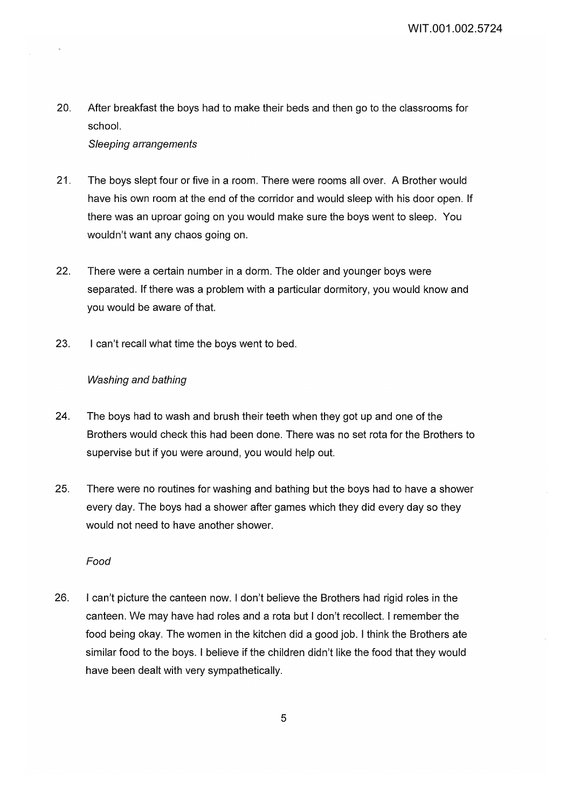WIT.001.002.5724

20. After breakfast the boys had to make their beds and then go to the classrooms for school.

### Sleeping arrangements

- 21. The boys slept four or five in a room. There were rooms all over. A Brother would have his own room at the end of the corridor and would sleep with his door open. If there was an uproar going on you would make sure the boys went to sleep. You wouldn't want any chaos going on.
- 22. There were a certain number in a dorm. The older and younger boys were separated. If there was a problem with a particular dormitory, you would know and you would be aware of that.
- 23. I can't recall what time the boys went to bed.

## Washing and bathing

- 24. The boys had to wash and brush their teeth when they got up and one of the Brothers would check this had been done. There was no set rota for the Brothers to supervise but if you were around, you would help out.
- 25. There were no routines for washing and bathing but the boys had to have a shower every day. The boys had a shower after games which they did every day so they would not need to have another shower.

### Food

26. I can't picture the canteen now. I don't believe the Brothers had rigid roles in the canteen. We may have had roles and a rota but I don't recollect. I remember the food being okay. The women in the kitchen did a good job. I think the Brothers ate similar food to the boys. I believe if the children didn't like the food that they would have been dealt with very sympathetically.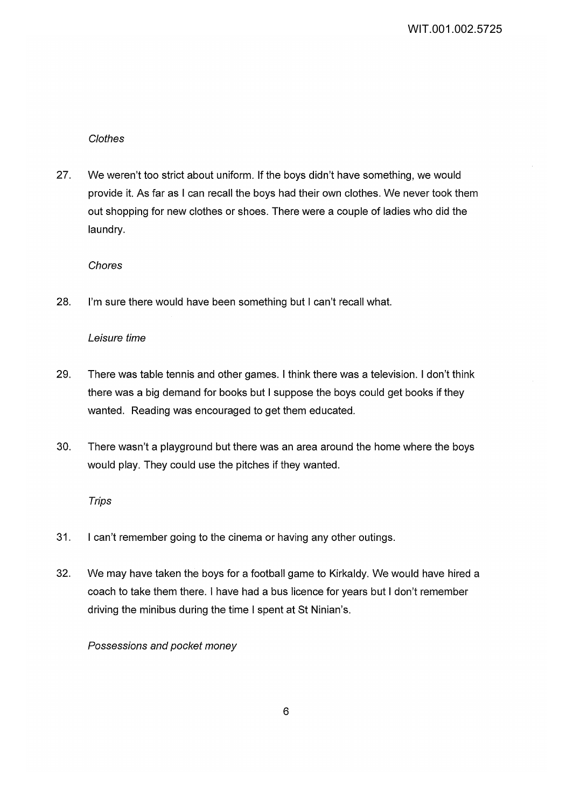## Clothes

27. We weren't too strict about uniform. If the boys didn't have something, we would provide it. As far as I can recall the boys had their own clothes. We never took them out shopping for new clothes or shoes. There were a couple of ladies who did the laundry.

Chores

28. I'm sure there would have been something but I can't recall what.

## Leisure time

- 29. There was table tennis and other games. I think there was a television. I don't think there was a big demand for books but I suppose the boys could get books if they wanted. Reading was encouraged to get them educated.
- 30. There wasn't a playground but there was an area around the home where the boys would play. They could use the pitches if they wanted.

## **Trips**

- 31. I can't remember going to the cinema or having any other outings.
- 32. We may have taken the boys for a football game to Kirkaldy. We would have hired a coach to take them there. I have had a bus licence for years but I don't remember driving the minibus during the time I spent at St Ninian's.

## Possessions and pocket money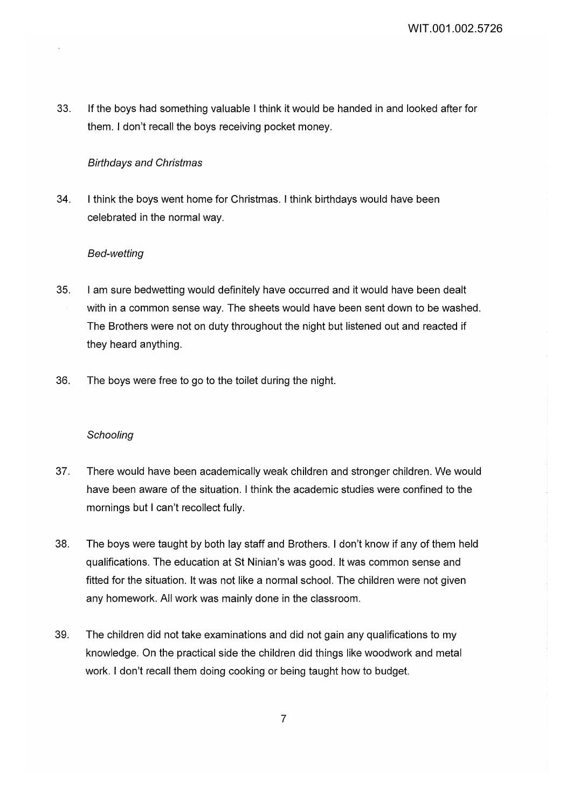33. If the boys had something valuable I think it would be handed in and looked after for them. I don't recall the boys receiving pocket money.

### Birthdays and Christmas

34. I think the boys went home for Christmas. I think birthdays would have been celebrated in the normal way.

### Bed-wetting

- 35. I am sure bedwetting would definitely have occurred and it would have been dealt with in a common sense way. The sheets would have been sent down to be washed. The Brothers were not on duty throughout the night but listened out and reacted if they heard anything.
- 36. The boys were free to go to the toilet during the night.

### **Schooling**

- 37. There would have been academically weak children and stronger children. We would have been aware of the situation. I think the academic studies were confined to the mornings but I can't recollect fully.
- 38. The boys were taught by both lay staff and Brothers. I don't know if any of them held qualifications. The education at St Ninian's was good. It was common sense and fitted for the situation. It was not like a normal school. The children were not given any homework. All work was mainly done in the classroom.
- 39. The children did not take examinations and did not gain any qualifications to my knowledge. On the practical side the children did things like woodwork and metal work. I don't recall them doing cooking or being taught how to budget.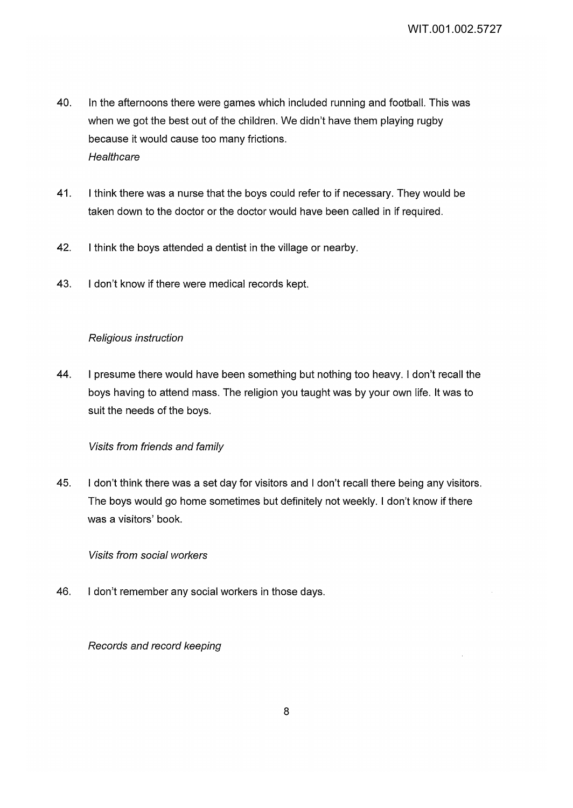- 40. In the afternoons there were games which included running and football. This was when we got the best out of the children. We didn't have them playing rugby because it would cause too many frictions. **Healthcare**
- 41. I think there was a nurse that the boys could refer to if necessary. They would be taken down to the doctor or the doctor would have been called in if required.
- 42. I think the boys attended a dentist in the village or nearby.
- 43. I don't know if there were medical records kept.

## Religious instruction

44. I presume there would have been something but nothing too heavy. I don't recall the boys having to attend mass. The religion you taught was by your own life. It was to suit the needs of the boys.

# Visits from friends and family

45. I don't think there was a set day for visitors and I don't recall there being any visitors. The boys would go home sometimes but definitely not weekly. I don't know if there was a visitors' book.

## Visits from social workers

46. I don't remember any social workers in those days.

## Records and record keeping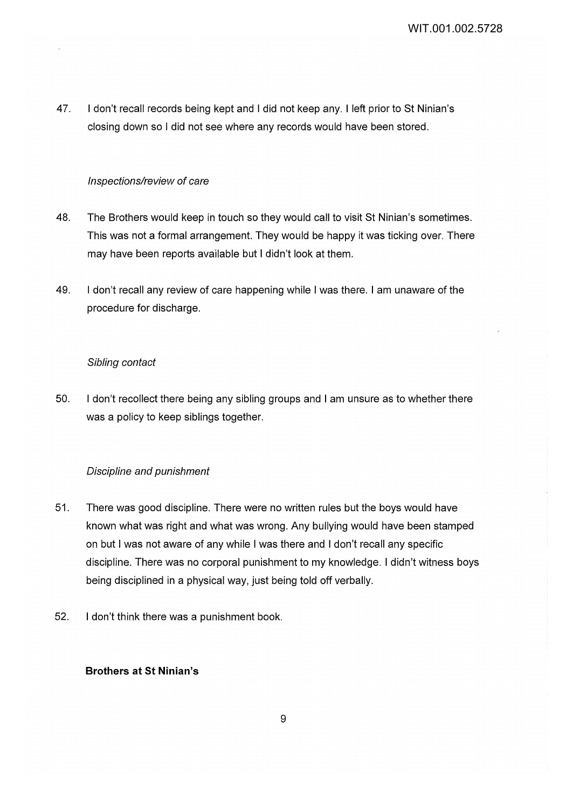47. I don't recall records being kept and I did not keep any. I left prior to St Ninian's closing down so I did not see where any records would have been stored.

### Inspections/review of care

- 48. The Brothers would keep in touch so they would call to visit St Ninian's sometimes. This was not a formal arrangement. They would be happy it was ticking over. There may have been reports available but I didn't look at them.
- 49. I don't recall any review of care happening while I was there. I am unaware of the procedure for discharge.

### Sibling contact

50. I don't recollect there being any sibling groups and I am unsure as to whether there was a policy to keep siblings together.

## Discipline and punishment

- 51. There was good discipline. There were no written rules but the boys would have known what was right and what was wrong. Any bullying would have been stamped on but I was not aware of any while I was there and I don't recall any specific discipline. There was no corporal punishment to my knowledge. I didn't witness boys being disciplined in a physical way, just being told off verbally.
- 52. I don't think there was a punishment book.

### **Brothers at St Ninian's**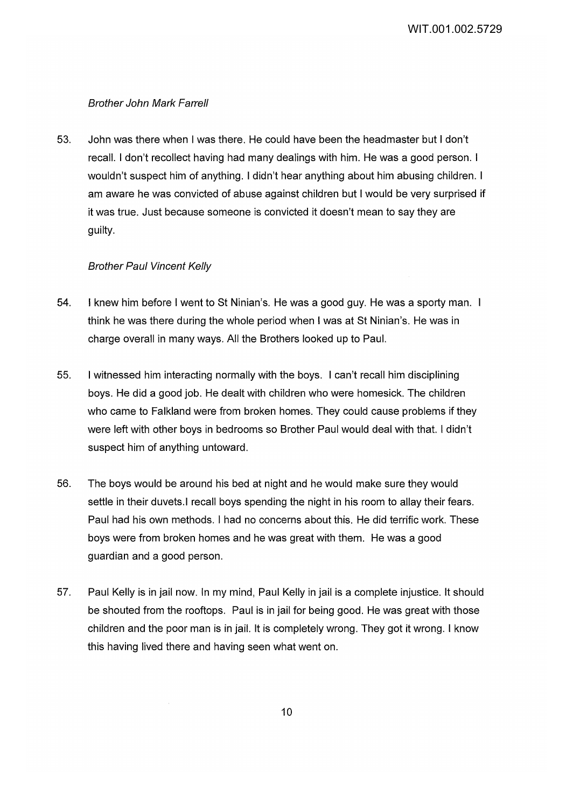WIT.001.002.5729

#### Brother John Mark Farrell

53. John was there when I was there. He could have been the headmaster but I don't recall. I don't recollect having had many dealings with him. He was a good person. I wouldn't suspect him of anything. I didn't hear anything about him abusing children. I am aware he was convicted of abuse against children but I would be very surprised if it was true. Just because someone is convicted it doesn't mean to say they are guilty.

#### Brother Paul Vincent Kelly

- 54. I knew him before I went to St Ninian's. He was a good guy. He was a sporty man. think he was there during the whole period when I was at St Ninian's. He was in charge overall in many ways. All the Brothers looked up to Paul.
- 55. I witnessed him interacting normally with the boys. I can't recall him disciplining boys. He did a good job. He dealt with children who were homesick. The children who came to Falkland were from broken homes. They could cause problems if they were left with other boys in bedrooms so Brother Paul would deal with that. I didn't suspect him of anything untoward.
- 56. The boys would be around his bed at night and he would make sure they would settle in their duvets.I recall boys spending the night in his room to allay their fears. Paul had his own methods. I had no concerns about this. He did terrific work. These boys were from broken homes and he was great with them. He was a good guardian and a good person.
- 57. Paul Kelly is in jail now. In my mind, Paul Kelly in jail is a complete injustice. It should be shouted from the rooftops. Paul is in jail for being good. He was great with those children and the poor man is in jail. It is completely wrong. They got it wrong. I know this having lived there and having seen what went on.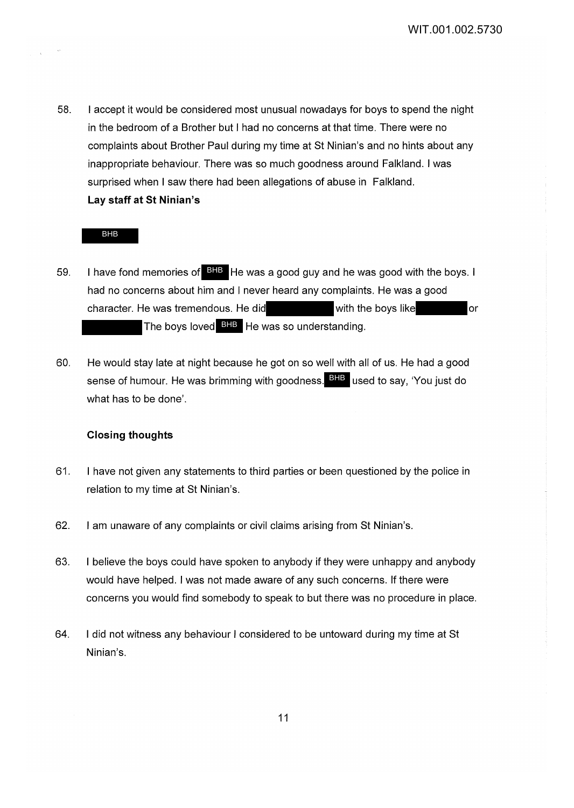58. I accept it would be considered most unusual nowadays for boys to spend the night in the bedroom of a Brother but I had no concerns at that time. There were no complaints about Brother Paul during my time at St Ninian's and no hints about any inappropriate behaviour. There was so much goodness around Falkland. I was surprised when I saw there had been allegations of abuse in Falkland. **Lay staff at St Ninian's** 

#### BHB

- 59. I have fond memories of **BHB** He was a good guy and he was good with the boys. I had no concerns about him and I never heard any complaints. He was a good character. He was tremendous. He did with the boys like or The boys loved BHB He was so understanding.
- 60. He would stay late at night because he got on so well with all of us. He had a good sense of humour. He was brimming with goodness. <sup>BHB</sup> used to say, 'You just do what has to be done'.

### **Closing thoughts**

- 61. I have not given any statements to third parties or been questioned by the police in relation to my time at St Ninian's.
- 62. I am unaware of any complaints or civil claims arising from St Ninian's.
- 63. I believe the boys could have spoken to anybody if they were unhappy and anybody would have helped. I was not made aware of any such concerns. If there were concerns you would find somebody to speak to but there was no procedure in place.
- 64. I did not witness any behaviour I considered to be untoward during my time at St Ninian's.